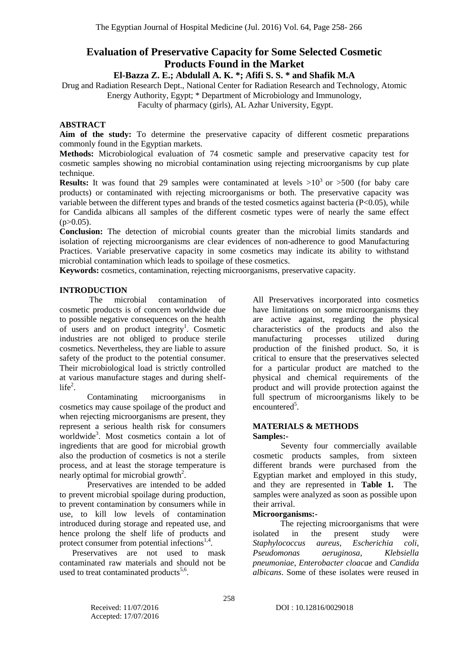# **Evaluation of Preservative Capacity for Some Selected Cosmetic Products Found in the Market**

# **El-Bazza Z. E.; Abdulall A. K. \*; Afifi S. S. \* and Shafik M.A**

Drug and Radiation Research Dept., National Center for Radiation Research and Technology, Atomic

Energy Authority, Egypt; \* Department of Microbiology and Immunology,

Faculty of pharmacy (girls), AL Azhar University, Egypt.

# **ABSTRACT**

**Aim of the study:** To determine the preservative capacity of different cosmetic preparations commonly found in the Egyptian markets.

**Methods:** Microbiological evaluation of 74 cosmetic sample and preservative capacity test for cosmetic samples showing no microbial contamination using rejecting microorganisms by cup plate technique.

**Results:** It was found that 29 samples were contaminated at levels  $>10^3$  or  $>500$  (for baby care products) or contaminated with rejecting microorganisms or both. The preservative capacity was variable between the different types and brands of the tested cosmetics against bacteria (P<0.05), while for Candida albicans all samples of the different cosmetic types were of nearly the same effect  $(p>0.05)$ .

**Conclusion:** The detection of microbial counts greater than the microbial limits standards and isolation of rejecting microorganisms are clear evidences of non-adherence to good Manufacturing Practices. Variable preservative capacity in some cosmetics may indicate its ability to withstand microbial contamination which leads to spoilage of these cosmetics.

**Keywords:** cosmetics, contamination, rejecting microorganisms, preservative capacity.

### **INTRODUCTION**

The microbial contamination of cosmetic products is of concern worldwide due to possible negative consequences on the health of users and on product integrity<sup>1</sup>. Cosmetic industries are not obliged to produce sterile cosmetics. Nevertheless, they are liable to assure safety of the product to the potential consumer. Their microbiological load is strictly controlled at various manufacture stages and during shelf $life<sup>2</sup>$ .

Contaminating microorganisms in cosmetics may cause spoilage of the product and when rejecting microorganisms are present, they represent a serious health risk for consumers worldwide<sup>3</sup>. Most cosmetics contain a lot of ingredients that are good for microbial growth also the production of cosmetics is not a sterile process, and at least the storage temperature is nearly optimal for microbial growth<sup>2</sup>.

Preservatives are intended to be added to prevent microbial spoilage during production, to prevent contamination by consumers while in use, to kill low levels of contamination introduced during storage and repeated use, and hence prolong the shelf life of products and protect consumer from potential infections<sup>1,4</sup>.

 Preservatives are not used to mask contaminated raw materials and should not be used to treat contaminated products<sup>5,6</sup>.

All Preservatives incorporated into cosmetics have limitations on some microorganisms they are active against, regarding the physical characteristics of the products and also the manufacturing processes utilized during production of the finished product. So, it is critical to ensure that the preservatives selected for a particular product are matched to the physical and chemical requirements of the product and will provide protection against the full spectrum of microorganisms likely to be encountered<sup>5</sup>.

#### **MATERIALS & METHODS Samples:-**

Seventy four commercially available cosmetic products samples, from sixteen different brands were purchased from the Egyptian market and employed in this study, and they are represented in **Table 1.** The samples were analyzed as soon as possible upon their arrival.

#### **Microorganisms:-**

The rejecting microorganisms that were isolated in the present study were *Staphylococcus aureus*, *Escherichia coli*, *Pseudomonas aeruginosa*, *Klebsiella pneumoniae*, *Enterobacter cloacae* and *Candida albicans*. Some of these isolates were reused in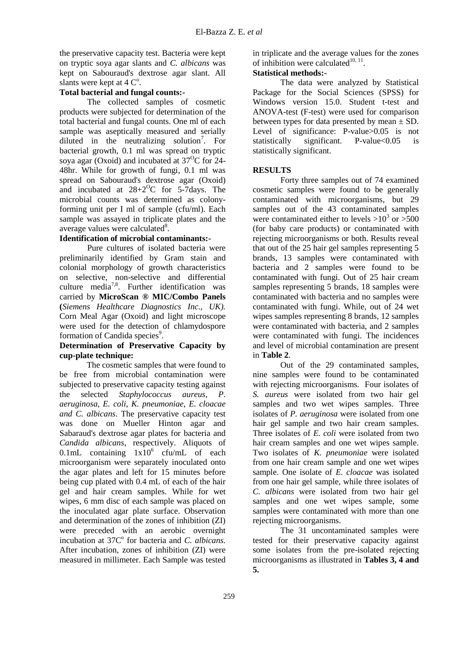the preservative capacity test. Bacteria were kept on tryptic soya agar slants and *C. albicans* was kept on Sabouraud's dextrose agar slant. All slants were kept at  $4 \, \text{C}^{\degree}$ .

## **Total bacterial and fungal counts:-**

The collected samples of cosmetic products were subjected for determination of the total bacterial and fungal counts. One ml of each sample was aseptically measured and serially diluted in the neutralizing solution<sup>7</sup>. For bacterial growth, 0.1 ml was spread on tryptic soya agar (Oxoid) and incubated at  $37^{\circ}$ C for 24-48hr. While for growth of fungi, 0.1 ml was spread on Sabouraud's dextrose agar (Oxoid) and incubated at  $28+2$ <sup>O</sup>C for 5-7days. The microbial counts was determined as colonyforming unit per I ml of sample (cfu/ml). Each sample was assayed in triplicate plates and the average values were calculated<sup>8</sup>.

## **Identification of microbial contaminants:-**

Pure cultures of isolated bacteria were preliminarily identified by Gram stain and colonial morphology of growth characteristics on selective, non-selective and differential culture media<sup>7,8</sup>. Further identification was carried by **MicroScan ® MIC/Combo Panels (***Siemens Healthcare Diagnostics Inc., UK).*  Corn Meal Agar (Oxoid) and light microscope were used for the detection of chlamydospore formation of Candida species<sup>9</sup>.

#### **Determination of Preservative Capacity by cup-plate technique:**

The cosmetic samples that were found to be free from microbial contamination were subjected to preservative capacity testing against the selected *Staphylococcus aureus, P. aeruginosa, E. coli, K. pneumoniae, E. cloacae and C. albicans*. The preservative capacity test was done on Mueller Hinton agar and Sabaraud's dextrose agar plates for bacteria and *Candida albicans*, respectively. Aliquots of 0.1mL containing  $1x\overline{10}^6$  cfu/mL of each microorganism were separately inoculated onto the agar plates and left for 15 minutes before being cup plated with 0.4 mL of each of the hair gel and hair cream samples. While for wet wipes, 6 mm disc of each sample was placed on the inoculated agar plate surface. Observation and determination of the zones of inhibition (ZI) were preceded with an aerobic overnight incubation at 37C<sup>°</sup> for bacteria and *C. albicans*. After incubation, zones of inhibition (ZI) were measured in millimeter. Each Sample was tested

in triplicate and the average values for the zones of inhibition were calculated $10, 11$ .

## **Statistical methods:-**

The data were analyzed by Statistical Package for the Social Sciences (SPSS) for Windows version 15.0. Student t-test and ANOVA-test (F-test) were used for comparison between types for data presented by mean ± SD. Level of significance: P-value>0.05 is not statistically significant. P-value<0.05 is statistically significant.

## **RESULTS**

Forty three samples out of 74 examined cosmetic samples were found to be generally contaminated with microorganisms, but 29 samples out of the 43 contaminated samples were contaminated either to levels  $>10^3$  or  $>500$ (for baby care products) or contaminated with rejecting microorganisms or both. Results reveal that out of the 25 hair gel samples representing 5 brands, 13 samples were contaminated with bacteria and 2 samples were found to be contaminated with fungi. Out of 25 hair cream samples representing 5 brands, 18 samples were contaminated with bacteria and no samples were contaminated with fungi. While, out of 24 wet wipes samples representing 8 brands, 12 samples were contaminated with bacteria, and 2 samples were contaminated with fungi. The incidences and level of microbial contamination are present in **Table 2**.

Out of the 29 contaminated samples, nine samples were found to be contaminated with rejecting microorganisms. Four isolates of *S. aureus* were isolated from two hair gel samples and two wet wipes samples. Three isolates of *P. aeruginosa* were isolated from one hair gel sample and two hair cream samples. Three isolates of *E. coli* were isolated from two hair cream samples and one wet wipes sample. Two isolates of *K. pneumoniae* were isolated from one hair cream sample and one wet wipes sample. One isolate of *E. cloacae* was isolated from one hair gel sample, while three isolates of *C. albicans* were isolated from two hair gel samples and one wet wipes sample, some samples were contaminated with more than one rejecting microorganisms.

The 31 uncontaminated samples were tested for their preservative capacity against some isolates from the pre-isolated rejecting microorganisms as illustrated in **Tables 3, 4 and 5.**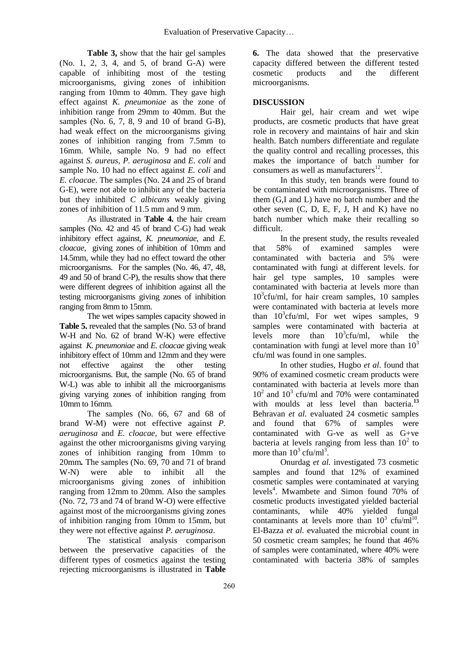**Table 3,** show that the hair gel samples (No. 1, 2, 3, 4, and 5, of brand G-A) were capable of inhibiting most of the testing microorganisms, giving zones of inhibition ranging from 10mm to 40mm. They gave high effect against *K. pneumoniae* as the zone of inhibition range from 29mm to 40mm. But the samples (No. 6, 7, 8, 9 and 10 of brand G-B), had weak effect on the microorganisms giving zones of inhibition ranging from 7.5mm to 16mm. While, sample No. 9 had no effect against *S. aureus, P. aeruginosa* and *E. coli* and sample No. 10 had no effect against *E. coli* and *E. cloacae*. The samples (No. 24 and 25 of brand G-E), were not able to inhibit any of the bacteria but they inhibited *C albicans* weakly giving zones of inhibition of 11.5 mm and 9 mm.

As illustrated in **Table 4.** the hair cream samples (No. 42 and 45 of brand C-G) had weak inhibitory effect against*, K. pneumoniae,* and *E. cloacae*, giving zones of inhibition of 10mm and 14.5mm, while they had no effect toward the other microorganisms. For the samples (No. 46, 47, 48, 49 and 50 of brand C-P), the results show that there were different degrees of inhibition against all the testing microorganisms giving zones of inhibition ranging from 8mm to 15mm.

The wet wipes samples capacity showed in **Table 5.** revealed that the samples (No. 53 of brand W-H and No. 62 of brand W-K) were effective against *K. pneumoniae* and *E. cloacae* giving weak inhibitory effect of 10mm and 12mm and they were not effective against the other testing microorganisms. But, the sample (No. 65 of brand W-L) was able to inhibit all the microorganisms giving varying zones of inhibition ranging from 10mm to 16mm*.* 

The samples (No. 66, 67 and 68 of brand W-M) were not effective against *P. aeruginosa* and *E. cloacae,* but were effective against the other microorganisms giving varying zones of inhibition ranging from 10mm to 20mm*.* The samples (No. 69, 70 and 71 of brand W-N) were able to inhibit all the microorganisms giving zones of inhibition ranging from 12mm to 20mm*.* Also the samples (No. 72, 73 and 74 of brand W-O) were effective against most of the microorganisms giving zones of inhibition ranging from 10mm to 15mm, but they were not effective against *P. aeruginosa*.

The statistical analysis comparison between the preservative capacities of the different types of cosmetics against the testing rejecting microorganisms is illustrated in **Table** 

**6.** The data showed that the preservative capacity differed between the different tested cosmetic products and the different microorganisms.

# **DISCUSSION**

Hair gel, hair cream and wet wipe products, are cosmetic products that have great role in recovery and maintains of hair and skin health. Batch numbers differentiate and regulate the quality control and recalling processes, this makes the importance of batch number for consumers as well as manufacturers $^{12}$ .

In this study, ten brands were found to be contaminated with microorganisms. Three of them (G,I and L) have no batch number and the other seven  $(C, D, E, F, J, H, and K)$  have no batch number which make their recalling so difficult.

In the present study, the results revealed that 58% of examined samples were contaminated with bacteria and 5% were contaminated with fungi at different levels. for hair gel type samples, 10 samples were contaminated with bacteria at levels more than 10<sup>3</sup> cfu/ml, for hair cream samples, 10 samples were contaminated with bacteria at levels more than  $10^3$ cfu/ml, For wet wipes samples, 9 samples were contaminated with bacteria at levels more than  $10^3$ cfu/ml, while the contamination with fungi at level more than  $10<sup>3</sup>$ cfu/ml was found in one samples.

In other studies, Hugbo *et al*. found that 90% of examined cosmetic cream products were contaminated with bacteria at levels more than  $10^2$  and  $10^3$  cfu/ml and 70% were contaminated with moulds at less level than bacteria.<sup>13</sup> Behravan *et al.* evaluated 24 cosmetic samples and found that 67% of samples were contaminated with G-ve as well as G+ve bacteria at levels ranging from less than  $10^2$  to more than  $10^3$  cfu/ml<sup>3</sup>.

Onurdag *et al.* investigated 73 cosmetic samples and found that 12% of examined cosmetic samples were contaminated at varying levels<sup>4</sup>. Mwambete and Simon found 70% of cosmetic products investigated yielded bacterial contaminants, while 40% yielded fungal contaminants at levels more than  $10^3$  cfu/ml<sup>10</sup>. El-Bazza *et al.* evaluated the microbial count in 50 cosmetic cream samples; he found that 46% of samples were contaminated, where 40% were contaminated with bacteria 38% of samples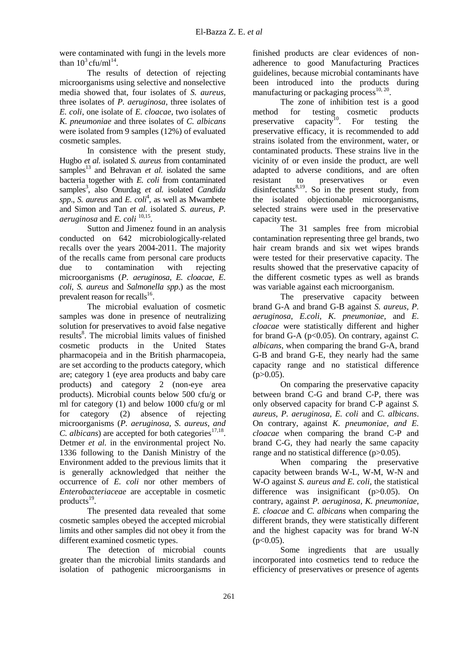were contaminated with fungi in the levels more than  $10^3$  cfu/ml<sup>14</sup>.

The results of detection of rejecting microorganisms using selective and nonselective media showed that, four isolates of *S. aureus,*  three isolates of *P. aeruginosa*, three isolates of *E. coli*, one isolate of *E. cloacae*, two isolates of *K. pneumoniae* and three isolates of *C. albicans* were isolated from 9 samples (12%) of evaluated cosmetic samples.

In consistence with the present study, Hugbo *et al.* isolated *S. aureus* from contaminated samples<sup>13</sup> and Behravan *et al.* isolated the same bacteria together with *E. coli* from contaminated samples<sup>3</sup>, also Onurdag et al. isolated *Candida* spp., *S. aureus* and *E. coli<sup>4</sup>*, as well as Mwambete and Simon and Tan *et al.* isolated *S. aureus, P.*   $aeruginosa$  and  $E.$   $coli$   $^{10,15}.$ 

Sutton and Jimenez found in an analysis conducted on 642 microbiologically-related recalls over the years 2004-2011. The majority of the recalls came from personal care products due to contamination with rejecting microorganisms (*P. aeruginosa, E. cloacae, E. coli, S. aureus* and *Salmonella spp*.) as the most prevalent reason for recalls<sup>16</sup>.

The microbial evaluation of cosmetic samples was done in presence of neutralizing solution for preservatives to avoid false negative results<sup>8</sup>. The microbial limits values of finished cosmetic products in the United States pharmacopeia and in the British pharmacopeia, are set according to the products category, which are; category 1 (eye area products and baby care products) and category 2 (non-eye area products). Microbial counts below 500 cfu/g or ml for category (1) and below 1000 cfu/g or ml for category (2) absence of rejecting microorganisms (*P. aeruginosa, S. aureus, and C. albicans*) are accepted for both categories<sup>17,18</sup>. Detmer *et al.* in the environmental project No. 1336 following to the Danish Ministry of the Environment added to the previous limits that it is generally acknowledged that neither the occurrence of *E. coli* nor other members of *Enterobacteriaceae* are acceptable in cosmetic  $p$ roducts $^{19}$ .

The presented data revealed that some cosmetic samples obeyed the accepted microbial limits and other samples did not obey it from the different examined cosmetic types.

The detection of microbial counts greater than the microbial limits standards and isolation of pathogenic microorganisms in finished products are clear evidences of nonadherence to good Manufacturing Practices guidelines, because microbial contaminants have been introduced into the products during manufacturing or packaging process $^{10, 20}$ .

The zone of inhibition test is a good method for testing cosmetic products preservative capacity<sup>10</sup>. For testing the preservative efficacy, it is recommended to add strains isolated from the environment, water, or contaminated products. These strains live in the vicinity of or even inside the product, are well adapted to adverse conditions, and are often resistant to preservatives or even disinfectants<sup>8,19</sup>. So in the present study, from the isolated objectionable microorganisms, selected strains were used in the preservative capacity test.

The 31 samples free from microbial contamination representing three gel brands, two hair cream brands and six wet wipes brands were tested for their preservative capacity. The results showed that the preservative capacity of the different cosmetic types as well as brands was variable against each microorganism.

The preservative capacity between brand G-A and brand G-B against *S. aureus, P. aeruginosa, E.coli, K. pneumoniae,* and *E. cloacae* were statistically different and higher for brand G-A ( $p<0.05$ ). On contrary, against *C*. *albicans,* when comparing the brand G-A, brand G-B and brand G-E, they nearly had the same capacity range and no statistical difference  $(p>0.05)$ .

On comparing the preservative capacity between brand C-G and brand C-P, there was only observed capacity for brand C-P against *S. aureus, P. aeruginosa, E. coli* and *C. albicans*. On contrary, against *K. pneumoniae, and E. cloacae* when comparing the brand C-P and brand C-G, they had nearly the same capacity range and no statistical difference (p $>0.05$ ).

When comparing the preservative capacity between brands W-L, W-M, W-N and W-O against *S. aureus and E. coli,* the statistical difference was insignificant (p>0.05). On contrary, against *P. aeruginosa, K. pneumoniae, E. cloacae* and *C. albicans* when comparing the different brands, they were statistically different and the highest capacity was for brand W-N  $(p<0.05)$ .

Some ingredients that are usually incorporated into cosmetics tend to reduce the efficiency of preservatives or presence of agents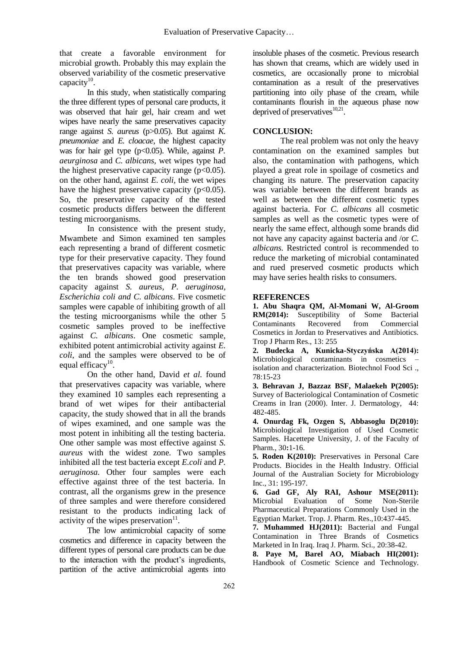that create a favorable environment for microbial growth. Probably this may explain the observed variability of the cosmetic preservative capacity $^{10}$ .

In this study, when statistically comparing the three different types of personal care products, it was observed that hair gel, hair cream and wet wipes have nearly the same preservatives capacity range against *S. aureus* (p>0.05). But against *K. pneumoniae* and *E. cloacae,* the highest capacity was for hair gel type (p<0.05). While, against *P*. *aeurginosa* and *C. albicans,* wet wipes type had the highest preservative capacity range  $(p<0.05)$ . on the other hand, against *E. coli,* the wet wipes have the highest preservative capacity  $(p<0.05)$ . So, the preservative capacity of the tested cosmetic products differs between the different testing microorganisms.

In consistence with the present study, Mwambete and Simon examined ten samples each representing a brand of different cosmetic type for their preservative capacity. They found that preservatives capacity was variable, where the ten brands showed good preservation capacity against *S. aureus, P. aeruginosa, Escherichia coli and C. albicans*. Five cosmetic samples were capable of inhibiting growth of all the testing microorganisms while the other 5 cosmetic samples proved to be ineffective against *C. albicans*. One cosmetic sample, exhibited potent antimicrobial activity against *E. coli*, and the samples were observed to be of equal efficacy $^{10}$ .

On the other hand, David *et al.* found that preservatives capacity was variable, where they examined 10 samples each representing a brand of wet wipes for their antibacterial capacity, the study showed that in all the brands of wipes examined, and one sample was the most potent in inhibiting all the testing bacteria. One other sample was most effective against *S. aureus* with the widest zone*.* Two samples inhibited all the test bacteria except *E.coli* and *P. aeruginosa*. Other four samples were each effective against three of the test bacteria. In contrast, all the organisms grew in the presence of three samples and were therefore considered resistant to the products indicating lack of activity of the wipes preservation $11$ .

The low antimicrobial capacity of some cosmetics and difference in capacity between the different types of personal care products can be due to the interaction with the product's ingredients, partition of the active antimicrobial agents into insoluble phases of the cosmetic. Previous research has shown that creams, which are widely used in cosmetics, are occasionally prone to microbial contamination as a result of the preservatives partitioning into oily phase of the cream, while contaminants flourish in the aqueous phase now deprived of preservatives $^{10,21}$ .

# **CONCLUSION:**

The real problem was not only the heavy contamination on the examined samples but also, the contamination with pathogens, which played a great role in spoilage of cosmetics and changing its nature. The preservation capacity was variable between the different brands as well as between the different cosmetic types against bacteria. For *C. albicans* all cosmetic samples as well as the cosmetic types were of nearly the same effect, although some brands did not have any capacity against bacteria and /or *C. albicans.* Restricted control is recommended to reduce the marketing of microbial contaminated and rued preserved cosmetic products which may have series health risks to consumers.

#### **REFERENCES**

**1. Abu Shaqra QM, Al-Momani W, Al-Groom RM(2014):** Susceptibility of Some Bacterial Contaminants Recovered from Commercial Cosmetics in Jordan to Preservatives and Antibiotics. Trop J Pharm Res., 13: 255

**2. Budecka A, Kunicka-Styczyńska A(2014):** Microbiological contaminants in cosmetics – isolation and characterization. Biotechnol Food Sci ., 78:15-23

**3. Behravan J, Bazzaz BSF, Malaekeh P(2005):** Survey of Bacteriological Contamination of Cosmetic Creams in Iran (2000). Inter. J. Dermatology, 44: 482-485.

**4. Onurdag Fk, Ozgen S, Abbasoglu D(2010):** Microbiological Investigation of Used Cosmetic Samples. Hacettepe University, J. of the Faculty of Pharm., 30**:**1-16.

**5. Roden K(2010):** Preservatives in Personal Care Products. Biocides in the Health Industry. Official Journal of the Australian Society for Microbiology Inc., 31: 195-197.

**6. Gad GF, Aly RAI, Ashour MSE(2011):** Microbial Evaluation of Some Non-Sterile Pharmaceutical Preparations Commonly Used in the Egyptian Market. Trop. J. Pharm. Res.,10:437-445.

**7. Muhammed HJ(2011):** Bacterial and Fungal Contamination in Three Brands of Cosmetics Marketed in In Iraq. Iraq J. Pharm. Sci., 20:38-42.

**8. Paye M, Barel AO, Miabach HI(2001):** Handbook of Cosmetic Science and Technology.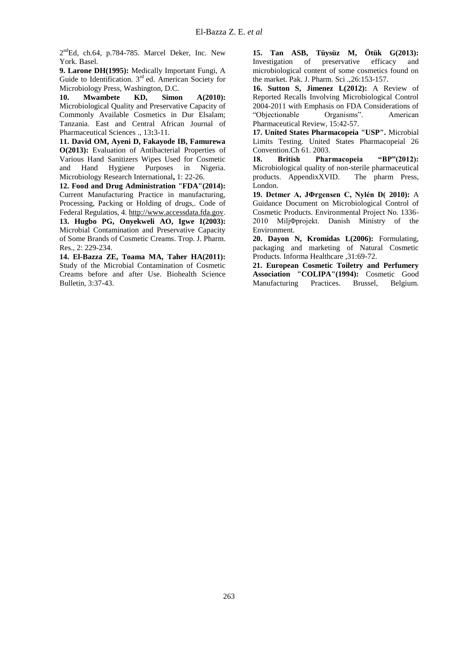2<sup>nd</sup>Ed, ch.64, p.784-785. Marcel Deker, Inc. New York. Basel.

**9. Larone DH(1995):** Medically Important Fungi, A Guide to Identification.  $3<sup>rd</sup>$  ed. American Society for Microbiology Press, Washington, D.C.

**10. Mwambete KD, Simon A(2010):** Microbiological Quality and Preservative Capacity of Commonly Available Cosmetics in Dur Elsalam; Tanzania. East and Central African Journal of Pharmaceutical Sciences ., 13**:**3-11.

**11. David OM, Ayeni D, Fakayode IB, Famurewa O(2013):** Evaluation of Antibacterial Properties of Various Hand Sanitizers Wipes Used for Cosmetic and Hand Hygiene Purposes in Nigeria. Microbiology Research International**,** 1: 22-26.

**12. Food and Drug Administration "FDA"(2014):** Current Manufacturing Practice in manufacturing, Processing, Packing or Holding of drugs,. Code of Federal Regulatios, 4[. http://www.accessdata.fda.gov.](http://www.accessdata.fda.gov/)

**13. Hugbo PG, Onyekweli AO, Igwe I(2003):** Microbial Contamination and Preservative Capacity of Some Brands of Cosmetic Creams. Trop. J. Pharm. Res., 2: 229-234.

**14. El-Bazza ZE, Toama MA, Taher HA(2011):** Study of the Microbial Contamination of Cosmetic Creams before and after Use. Biohealth Science Bulletin, 3:37-43.

**15. Tan ASB, Tüysüz M, Ötük G(2013):** Investigation of preservative efficacy and microbiological content of some cosmetics found on the market. Pak. J. Pharm. Sci .,26:153-157.

**16. Sutton S, Jimenez L(2012):** A Review of Reported Recalls Involving Microbiological Control 2004-2011 with Emphasis on FDA Considerations of "Objectionable Organisms". American Pharmaceutical Review, 15:42-57.

**17. United States Pharmacopeia "USP".** Microbial Limits Testing. United States Pharmacopeial 26 Convention.Ch 61. 2003.

**18. British Pharmacopeia "BP"(2012):** Microbiological quality of non-sterile pharmaceutical products. AppendixXVID. The pharm Press, London.

**19. Detmer A, JΦrgensen C, Nylén D( 2010):** A Guidance Document on Microbiological Control of Cosmetic Products. Environmental Project No. 1336- 2010 MiljΦprojekt. Danish Ministry of the Environment.

**20. Dayon N, Kromidas L(2006):** Formulating, packaging and marketing of Natural Cosmetic Products. Informa Healthcare ,31:69-72.

**21. European Cosmetic Toiletry and Perfumery Association "COLIPA"(1994):** Cosmetic Good Manufacturing Practices. Brussel, Belgium.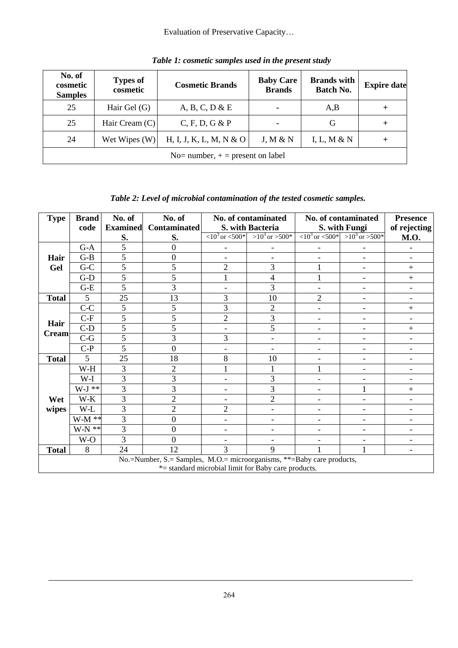# Evaluation of Preservative Capacity…

| No. of<br>cosmetic<br><b>Samples</b> | <b>Types of</b><br>cosmetic        | <b>Cosmetic Brands</b>  | <b>Baby Care</b><br><b>Brands</b> | <b>Brands with</b><br>Batch No. | <b>Expire date</b> |  |  |  |
|--------------------------------------|------------------------------------|-------------------------|-----------------------------------|---------------------------------|--------------------|--|--|--|
| 25                                   | Hair Gel (G)                       | A, B, C, D & E          | ۰                                 | A,B                             | $^{\mathrm{+}}$    |  |  |  |
| 25                                   | Hair Cream (C)                     | C, F, D, G & P          | ۰                                 | G                               | $\pm$              |  |  |  |
| 24                                   | Wet Wipes $(W)$                    | H, I, J, K, L, M, N & O | J, M & N                          | I, L, M & N                     |                    |  |  |  |
|                                      | No= number, $+$ = present on label |                         |                                   |                                 |                    |  |  |  |

*Table 1: cosmetic samples used in the present study*

# *Table 2: Level of microbial contamination of the tested cosmetic samples.*

| <b>Type</b>          | <b>Brand</b> | No. of          | No. of                                                                |                                                  | No. of contaminated                                 |                              | No. of contaminated                                          | <b>Presence</b>          |
|----------------------|--------------|-----------------|-----------------------------------------------------------------------|--------------------------------------------------|-----------------------------------------------------|------------------------------|--------------------------------------------------------------|--------------------------|
|                      | code         | <b>Examined</b> | <b>Contaminated</b>                                                   |                                                  | S. with Bacteria                                    |                              | S. with Fungi                                                | of rejecting             |
|                      |              | S.              | S.                                                                    | $\langle 10^3 \text{ or } \langle 500 \rangle^*$ | $>10^3$ or $>500^*$                                 |                              | $\langle 10^3 \text{ or } 500^*   > 10^3 \text{ or } >500^*$ | <b>M.O.</b>              |
| Hair<br>Gel          | $G-A$        | 5               | $\overline{0}$                                                        |                                                  | $\overline{\phantom{0}}$                            |                              |                                                              |                          |
|                      | $G-B$        | 5               | $\overline{0}$                                                        |                                                  |                                                     |                              |                                                              | $\overline{\phantom{a}}$ |
|                      | $G-C$        | 5               | 5                                                                     | $\overline{2}$                                   | 3                                                   |                              | $\overline{\phantom{0}}$                                     | $^{+}$                   |
|                      | $G-D$        | 5               | 5                                                                     |                                                  | $\overline{\mathcal{L}}$                            |                              | $\overline{\phantom{0}}$                                     | $^{+}$                   |
|                      | $G-E$        | 5               | 3                                                                     |                                                  | 3                                                   | $\blacksquare$               | $\qquad \qquad -$                                            | $\overline{\phantom{a}}$ |
| <b>Total</b>         | 5            | 25              | 13                                                                    | 3                                                | 10                                                  | $\overline{2}$               |                                                              | $\overline{\phantom{a}}$ |
|                      | $C-C$        | 5               | 5                                                                     | 3                                                | $\overline{c}$                                      | $\qquad \qquad \blacksquare$ |                                                              | $^{+}$                   |
| Hair<br><b>Cream</b> | $C-F$        | 5               | 5                                                                     | $\overline{2}$                                   | $\overline{3}$                                      | $\overline{\phantom{0}}$     |                                                              |                          |
|                      | $C-D$        | 5               | 5                                                                     |                                                  | $\overline{5}$                                      | $\blacksquare$               | ٠                                                            | $^{+}$                   |
|                      | $C-G$        | $\overline{5}$  | 3                                                                     | 3                                                | $\overline{\phantom{0}}$                            | $\overline{\phantom{0}}$     | ٠                                                            | $\overline{a}$           |
|                      | $C-P$        | $\overline{5}$  | $\overline{0}$                                                        |                                                  | $\overline{\phantom{a}}$                            | $\overline{a}$               | ٠                                                            | $\overline{\phantom{a}}$ |
| <b>Total</b>         | 5            | 25              | 18                                                                    | 8                                                | 10                                                  | $\overline{\phantom{0}}$     | $\overline{\phantom{0}}$                                     | $\overline{\phantom{a}}$ |
|                      | W-H          | 3               | $\overline{2}$                                                        |                                                  |                                                     |                              |                                                              |                          |
|                      | W-I          | 3               | 3                                                                     |                                                  | 3                                                   |                              |                                                              | $\overline{\phantom{a}}$ |
|                      | $W-J$ **     | 3               | 3                                                                     |                                                  | 3                                                   |                              | 1                                                            | $^{+}$                   |
| Wet                  | $W-K$        | 3               | $\overline{2}$                                                        |                                                  | $\overline{2}$                                      | $\overline{\phantom{0}}$     | $\overline{a}$                                               | $\overline{\phantom{a}}$ |
| wipes                | W-L          | 3               | $\overline{2}$                                                        | $\overline{2}$                                   | $\overline{\phantom{0}}$                            | $\overline{\phantom{0}}$     | ٠                                                            | $\overline{\phantom{a}}$ |
|                      | $W-M**$      | 3               | $\overline{0}$                                                        |                                                  | $\qquad \qquad \blacksquare$                        |                              | ٠                                                            | $\overline{\phantom{a}}$ |
|                      | $W-N$ **     | 3               | $\overline{0}$                                                        | ۰                                                | $\qquad \qquad \blacksquare$                        | $\overline{\phantom{0}}$     | -                                                            | $\overline{a}$           |
|                      | W-O          | 3               | $\theta$                                                              |                                                  |                                                     |                              | $\overline{\phantom{0}}$                                     | $\overline{\phantom{a}}$ |
| <b>Total</b>         | 8            | 24              | 12                                                                    | 3                                                | 9                                                   |                              | 1                                                            | $\overline{\phantom{a}}$ |
|                      |              |                 | No.=Number, S.= Samples, M.O.= microorganisms, **=Baby care products, |                                                  |                                                     |                              |                                                              |                          |
|                      |              |                 |                                                                       |                                                  | *= standard microbial limit for Baby care products. |                              |                                                              |                          |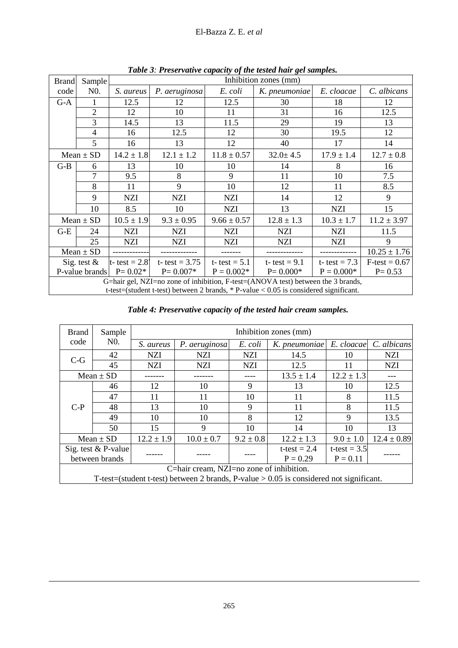| El-Bazza Z. E. et al |  |
|----------------------|--|
|----------------------|--|

| <b>Brand</b>   | Sample           |                  | Tubic 9. I reservative capacity of the testea had get samples.<br>Inhibition zones (mm) |                          |                                                                                                                                                                             |                 |                  |  |  |  |
|----------------|------------------|------------------|-----------------------------------------------------------------------------------------|--------------------------|-----------------------------------------------------------------------------------------------------------------------------------------------------------------------------|-----------------|------------------|--|--|--|
| code           | N <sub>0</sub> . | S. aureus        | P. aeruginosa                                                                           | E. coli<br>K. pneumoniae |                                                                                                                                                                             | E. cloacae      | C. albicans      |  |  |  |
| $G-A$          |                  | 12.5             | 12                                                                                      | 12.5                     | 30                                                                                                                                                                          | 18              | 12               |  |  |  |
|                | 2                | 12               | 10                                                                                      | 31<br>11                 |                                                                                                                                                                             | 16              | 12.5             |  |  |  |
|                | 3                | 14.5             | 13                                                                                      | 11.5                     | 29                                                                                                                                                                          | 19              | 13               |  |  |  |
|                | 4                | 16               | 12.5                                                                                    | 12                       | 30                                                                                                                                                                          | 19.5            | 12               |  |  |  |
|                | 5                | 16               | 13                                                                                      | 12                       | 40                                                                                                                                                                          | 17              | 14               |  |  |  |
|                | $Mean \pm SD$    | $14.2 \pm 1.8$   | $12.1 \pm 1.2$                                                                          | $11.8 \pm 0.57$          | $32.0 \pm 4.5$                                                                                                                                                              | $17.9 \pm 1.4$  | $12.7 \pm 0.8$   |  |  |  |
| $G-B$          | 6                | 13               | 10                                                                                      | 10                       | 14                                                                                                                                                                          | 8               | 16               |  |  |  |
|                | 7                | 9.5              | 8                                                                                       | 9                        | 11                                                                                                                                                                          | 10              | 7.5              |  |  |  |
|                | 8                | 11               | 9                                                                                       | 10                       | 12                                                                                                                                                                          | 11              | 8.5              |  |  |  |
|                | 9                | <b>NZI</b>       | <b>NZI</b>                                                                              | <b>NZI</b>               | 14                                                                                                                                                                          | 12              | 9                |  |  |  |
|                | 10               | 8.5              | 10                                                                                      | <b>NZI</b>               | 13                                                                                                                                                                          | <b>NZI</b>      | 15               |  |  |  |
|                | $Mean \pm SD$    | $10.5 \pm 1.9$   | $9.3 \pm 0.95$                                                                          | $9.66 \pm 0.57$          | $12.8 \pm 1.3$                                                                                                                                                              | $10.3 \pm 1.7$  | $11.2 \pm 3.97$  |  |  |  |
| $G-E$          | 24               | <b>NZI</b>       | <b>NZI</b>                                                                              | <b>NZI</b>               | <b>NZI</b>                                                                                                                                                                  | <b>NZI</b>      | 11.5             |  |  |  |
|                | 25               | <b>NZI</b>       | NZI                                                                                     | NZI                      | NZI                                                                                                                                                                         | NZI             | 9                |  |  |  |
|                | $Mean \pm SD$    |                  |                                                                                         |                          |                                                                                                                                                                             | ----------      | $10.25 \pm 1.76$ |  |  |  |
| Sig. test $\&$ |                  | t- test = $2.8'$ | t- test = $3.75$                                                                        | t- test = $5.1$          | t- test = $9.1$                                                                                                                                                             | t- test = $7.3$ | $F-test = 0.67$  |  |  |  |
|                | P-value brands   | $P = 0.02*$      | $P = 0.007*$                                                                            | $P = 0.002*$             | $P = 0.000*$                                                                                                                                                                | $P = 0.000*$    | $P = 0.53$       |  |  |  |
|                |                  |                  |                                                                                         |                          | G=hair gel, NZI=no zone of inhibition, F-test=(ANOVA test) between the 3 brands,<br>t-test=(student t-test) between 2 brands, $*$ P-value < 0.05 is considered significant. |                 |                  |  |  |  |

*Table 3: Preservative capacity of the tested hair gel samples.*

| Table 4: Preservative capacity of the tested hair cream samples. |  |  |  |
|------------------------------------------------------------------|--|--|--|
|                                                                  |  |  |  |

| <b>Brand</b>                             | Sample              | Inhibition zones (mm) |                |               |                                                                                           |                |                        |  |  |
|------------------------------------------|---------------------|-----------------------|----------------|---------------|-------------------------------------------------------------------------------------------|----------------|------------------------|--|--|
| code                                     | N0.                 | S. aureus             | P. aeruginosa  | E. coli       | K. pneumoniae                                                                             |                | E. cloacae C. albicans |  |  |
| $C-G$                                    | 42                  | <b>NZI</b>            | NZI            | <b>NZI</b>    | 14.5                                                                                      | 10             | <b>NZI</b>             |  |  |
|                                          | 45                  | NZI                   | <b>NZI</b>     | <b>NZI</b>    | 12.5                                                                                      | 11             | <b>NZI</b>             |  |  |
|                                          | $Mean \pm SD$       |                       |                |               | $13.5 \pm 1.4$                                                                            | $12.2 \pm 1.3$ |                        |  |  |
|                                          | 46                  | 12                    | 10             | 9             | 13                                                                                        | 10             | 12.5                   |  |  |
| $C-P$                                    | 47                  | 11                    | 11             | 10            | 11                                                                                        | 8              | 11.5                   |  |  |
|                                          | 48                  | 13                    | 10             | 9             | 11                                                                                        | 8              | 11.5                   |  |  |
|                                          | 49                  | 10                    | 10             | 8             | 12                                                                                        | 9              | 13.5                   |  |  |
|                                          | 50                  | 15                    | 9              | 10            | 14                                                                                        | 10             | 13                     |  |  |
|                                          | Mean $\pm$ SD       | $12.2 \pm 1.9$        | $10.0 \pm 0.7$ | $9.2 \pm 0.8$ | $12.2 \pm 1.3$                                                                            | $9.0 \pm 1.0$  | $12.4 \pm 0.89$        |  |  |
|                                          | Sig. test & P-value |                       |                |               | t-test = $2.4$                                                                            | t-test = $3.5$ |                        |  |  |
| between brands                           |                     |                       |                |               | $P = 0.29$                                                                                | $P = 0.11$     |                        |  |  |
| C=hair cream, NZI=no zone of inhibition. |                     |                       |                |               |                                                                                           |                |                        |  |  |
|                                          |                     |                       |                |               | T-test=(student t-test) between 2 brands, P-value $> 0.05$ is considered not significant. |                |                        |  |  |